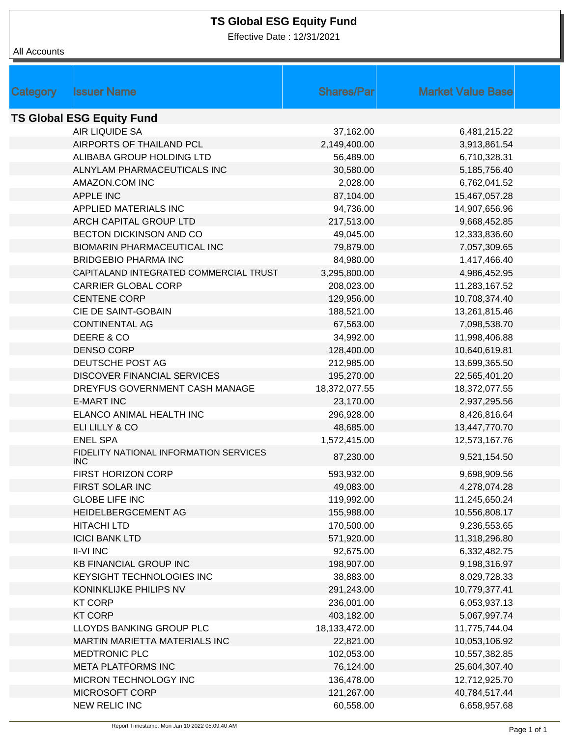## **TS Global ESG Equity Fund**

Effective Date : 12/31/2021

All Accounts

| Category                         | <b>Issuer Name</b>                                   | <b>Shares/Parl</b> | <b>Market Value Base</b> |  |  |  |
|----------------------------------|------------------------------------------------------|--------------------|--------------------------|--|--|--|
| <b>TS Global ESG Equity Fund</b> |                                                      |                    |                          |  |  |  |
|                                  | AIR LIQUIDE SA                                       | 37,162.00          | 6,481,215.22             |  |  |  |
|                                  | AIRPORTS OF THAILAND PCL                             | 2,149,400.00       | 3,913,861.54             |  |  |  |
|                                  | ALIBABA GROUP HOLDING LTD                            | 56,489.00          | 6,710,328.31             |  |  |  |
|                                  | ALNYLAM PHARMACEUTICALS INC                          | 30,580.00          | 5,185,756.40             |  |  |  |
|                                  | AMAZON.COM INC                                       | 2,028.00           | 6,762,041.52             |  |  |  |
|                                  | <b>APPLE INC</b>                                     | 87,104.00          | 15,467,057.28            |  |  |  |
|                                  | APPLIED MATERIALS INC                                | 94,736.00          | 14,907,656.96            |  |  |  |
|                                  | ARCH CAPITAL GROUP LTD                               | 217,513.00         | 9,668,452.85             |  |  |  |
|                                  | BECTON DICKINSON AND CO                              | 49,045.00          | 12,333,836.60            |  |  |  |
|                                  | <b>BIOMARIN PHARMACEUTICAL INC</b>                   | 79,879.00          | 7,057,309.65             |  |  |  |
|                                  | <b>BRIDGEBIO PHARMA INC</b>                          | 84,980.00          | 1,417,466.40             |  |  |  |
|                                  | CAPITALAND INTEGRATED COMMERCIAL TRUST               | 3,295,800.00       | 4,986,452.95             |  |  |  |
|                                  | <b>CARRIER GLOBAL CORP</b>                           | 208,023.00         | 11,283,167.52            |  |  |  |
|                                  | <b>CENTENE CORP</b>                                  | 129,956.00         | 10,708,374.40            |  |  |  |
|                                  | CIE DE SAINT-GOBAIN                                  | 188,521.00         | 13,261,815.46            |  |  |  |
|                                  | <b>CONTINENTAL AG</b>                                | 67,563.00          | 7,098,538.70             |  |  |  |
|                                  | DEERE & CO                                           | 34,992.00          | 11,998,406.88            |  |  |  |
|                                  | <b>DENSO CORP</b>                                    | 128,400.00         | 10,640,619.81            |  |  |  |
|                                  | DEUTSCHE POST AG                                     | 212,985.00         | 13,699,365.50            |  |  |  |
|                                  | <b>DISCOVER FINANCIAL SERVICES</b>                   | 195,270.00         | 22,565,401.20            |  |  |  |
|                                  | DREYFUS GOVERNMENT CASH MANAGE                       | 18,372,077.55      | 18,372,077.55            |  |  |  |
|                                  | <b>E-MART INC</b>                                    | 23,170.00          | 2,937,295.56             |  |  |  |
|                                  | ELANCO ANIMAL HEALTH INC                             | 296,928.00         | 8,426,816.64             |  |  |  |
|                                  | ELI LILLY & CO                                       | 48,685.00          | 13,447,770.70            |  |  |  |
|                                  | <b>ENEL SPA</b>                                      | 1,572,415.00       | 12,573,167.76            |  |  |  |
|                                  | FIDELITY NATIONAL INFORMATION SERVICES<br><b>INC</b> | 87,230.00          | 9,521,154.50             |  |  |  |
|                                  | <b>FIRST HORIZON CORP</b>                            | 593,932.00         | 9,698,909.56             |  |  |  |
|                                  | FIRST SOLAR INC                                      | 49,083.00          | 4,278,074.28             |  |  |  |
|                                  | <b>GLOBE LIFE INC</b>                                | 119,992.00         | 11,245,650.24            |  |  |  |
|                                  | HEIDELBERGCEMENT AG                                  | 155,988.00         | 10,556,808.17            |  |  |  |
|                                  | <b>HITACHI LTD</b>                                   | 170,500.00         | 9,236,553.65             |  |  |  |
|                                  | <b>ICICI BANK LTD</b>                                | 571,920.00         | 11,318,296.80            |  |  |  |
|                                  | <b>II-VI INC</b>                                     | 92,675.00          | 6,332,482.75             |  |  |  |
|                                  | <b>KB FINANCIAL GROUP INC</b>                        | 198,907.00         | 9,198,316.97             |  |  |  |
|                                  | KEYSIGHT TECHNOLOGIES INC                            | 38,883.00          | 8,029,728.33             |  |  |  |
|                                  | KONINKLIJKE PHILIPS NV                               | 291,243.00         | 10,779,377.41            |  |  |  |
|                                  | <b>KT CORP</b>                                       | 236,001.00         | 6,053,937.13             |  |  |  |
|                                  | <b>KT CORP</b>                                       | 403,182.00         | 5,067,997.74             |  |  |  |
|                                  | LLOYDS BANKING GROUP PLC                             | 18,133,472.00      | 11,775,744.04            |  |  |  |
|                                  | MARTIN MARIETTA MATERIALS INC                        | 22,821.00          | 10,053,106.92            |  |  |  |
|                                  | MEDTRONIC PLC                                        | 102,053.00         | 10,557,382.85            |  |  |  |
|                                  | <b>META PLATFORMS INC</b>                            | 76,124.00          | 25,604,307.40            |  |  |  |
|                                  | MICRON TECHNOLOGY INC                                | 136,478.00         | 12,712,925.70            |  |  |  |
|                                  | MICROSOFT CORP                                       | 121,267.00         | 40,784,517.44            |  |  |  |
|                                  | NEW RELIC INC                                        | 60,558.00          | 6,658,957.68             |  |  |  |